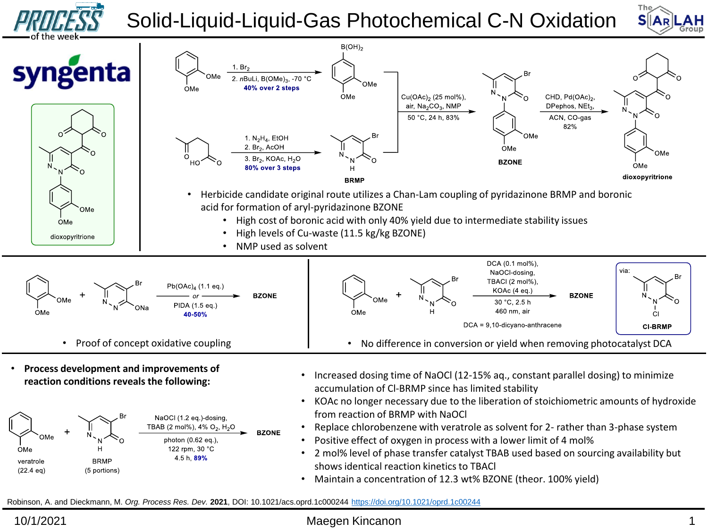



- shows identical reaction kinetics to TBACl
- Maintain a concentration of 12.3 wt% BZONE (theor. 100% yield)

Robinson, A. and Dieckmann, M. *Org. Process Res. Dev.* **2021**, DOI: 10.1021/acs.oprd.1c000244 [https://doi.org/10.1021/oprd.1c00244](https://doi.org/10.1002/anie.201303559)

4.5 h, 89%

veratrole  $(22.4 \text{ eq})$  **BRMP** 

(5 portions)

## 10/1/2021 Maegen Kincanon 1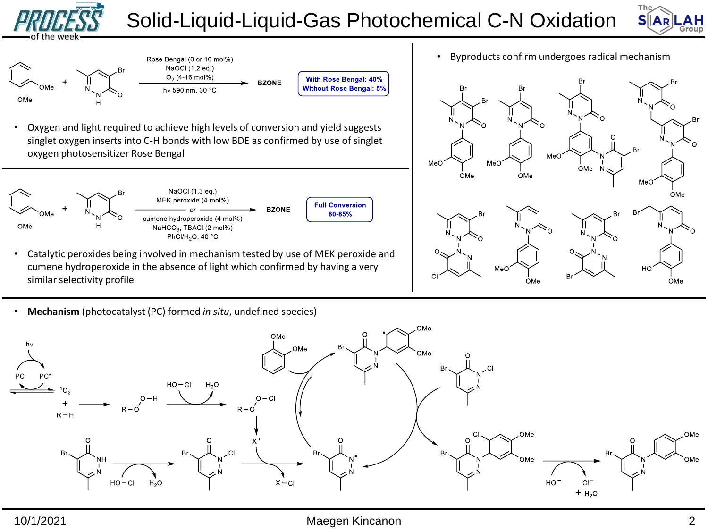

## Solid-Liquid-Liquid-Gas Photochemical C-N Oxidation





- **Without Rose Bengal: 5%**
- Oxygen and light required to achieve high levels of conversion and yield suggests singlet oxygen inserts into C-H bonds with low BDE as confirmed by use of singlet oxygen photosensitizer Rose Bengal



• Catalytic peroxides being involved in mechanism tested by use of MEK peroxide and cumene hydroperoxide in the absence of light which confirmed by having a very similar selectivity profile

• Byproducts confirm undergoes radical mechanism



• **Mechanism** (photocatalyst (PC) formed *in situ*, undefined species)